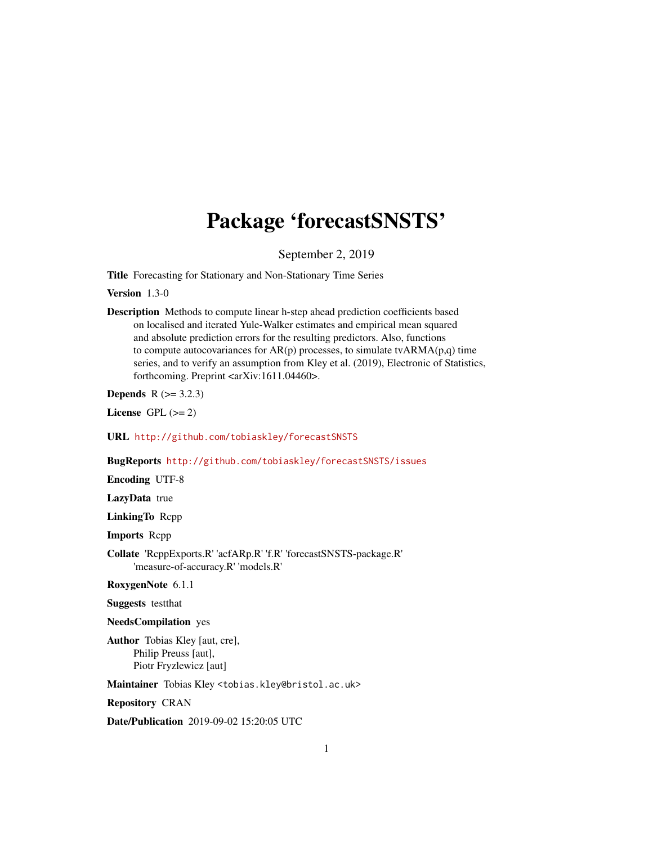# Package 'forecastSNSTS'

September 2, 2019

Title Forecasting for Stationary and Non-Stationary Time Series

Version 1.3-0

Description Methods to compute linear h-step ahead prediction coefficients based on localised and iterated Yule-Walker estimates and empirical mean squared and absolute prediction errors for the resulting predictors. Also, functions to compute autocovariances for  $AR(p)$  processes, to simulate tv $ARMA(p,q)$  time series, and to verify an assumption from Kley et al. (2019), Electronic of Statistics, forthcoming. Preprint <arXiv:1611.04460>.

**Depends**  $R (= 3.2.3)$ 

License GPL  $(>= 2)$ 

URL <http://github.com/tobiaskley/forecastSNSTS>

BugReports <http://github.com/tobiaskley/forecastSNSTS/issues>

Encoding UTF-8

LazyData true

LinkingTo Rcpp

Imports Rcpp

Collate 'RcppExports.R' 'acfARp.R' 'f.R' 'forecastSNSTS-package.R' 'measure-of-accuracy.R' 'models.R'

RoxygenNote 6.1.1

Suggests testthat

NeedsCompilation yes

Author Tobias Kley [aut, cre], Philip Preuss [aut], Piotr Fryzlewicz [aut]

Maintainer Tobias Kley <tobias.kley@bristol.ac.uk>

Repository CRAN

Date/Publication 2019-09-02 15:20:05 UTC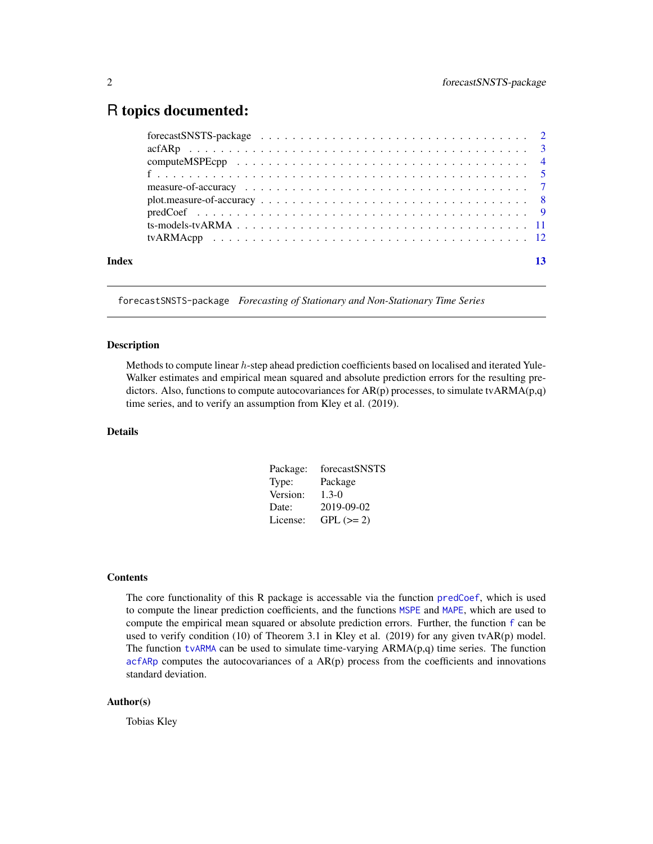# <span id="page-1-0"></span>R topics documented:

| Index |  |  |  |  |  |  |  |  |  |  |  |  |  |  |  |  |  |
|-------|--|--|--|--|--|--|--|--|--|--|--|--|--|--|--|--|--|
|       |  |  |  |  |  |  |  |  |  |  |  |  |  |  |  |  |  |

forecastSNSTS-package *Forecasting of Stationary and Non-Stationary Time Series*

#### Description

Methods to compute linear h-step ahead prediction coefficients based on localised and iterated Yule-Walker estimates and empirical mean squared and absolute prediction errors for the resulting predictors. Also, functions to compute autocovariances for AR(p) processes, to simulate tvARMA(p,q) time series, and to verify an assumption from Kley et al. (2019).

# Details

| Package: | forecastSNSTS |
|----------|---------------|
| Type:    | Package       |
| Version: | $1.3 - 0$     |
| Date:    | 2019-09-02    |
| License: | $GPL (= 2)$   |

#### **Contents**

The core functionality of this R package is accessable via the function [predCoef](#page-8-1), which is used to compute the linear prediction coefficients, and the functions [MSPE](#page-6-1) and [MAPE](#page-6-1), which are used to compute the empirical mean squared or absolute prediction errors. Further, the function [f](#page-4-1) can be used to verify condition  $(10)$  of Theorem 3.1 in Kley et al.  $(2019)$  for any given tvAR $(p)$  model. The function [tvARMA](#page-10-1) can be used to simulate time-varying  $ARMA(p,q)$  time series. The function [acfARp](#page-2-1) computes the autocovariances of a AR(p) process from the coefficients and innovations standard deviation.

#### Author(s)

Tobias Kley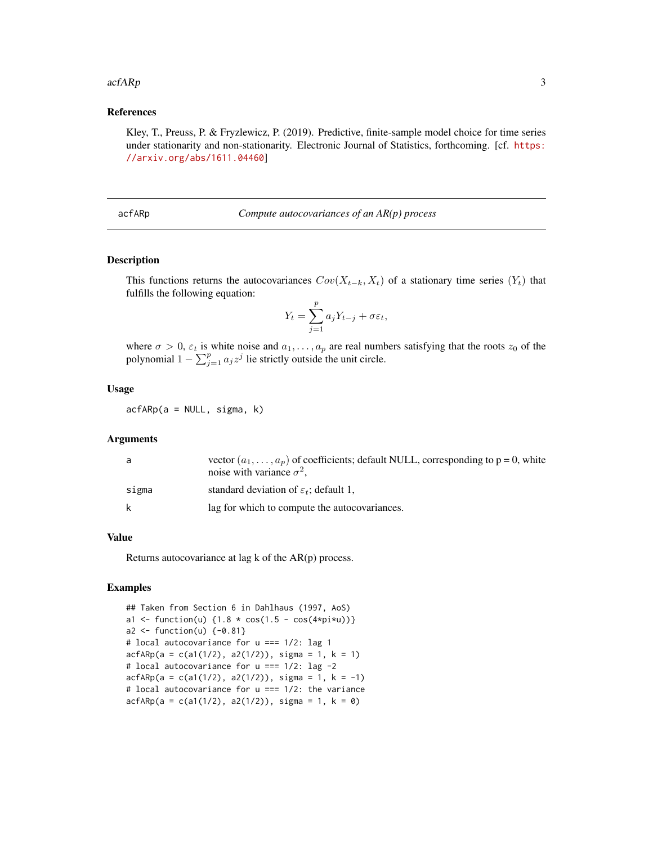#### <span id="page-2-0"></span> $acfARp$  3

### References

Kley, T., Preuss, P. & Fryzlewicz, P. (2019). Predictive, finite-sample model choice for time series under stationarity and non-stationarity. Electronic Journal of Statistics, forthcoming. [cf. [https:](https://arxiv.org/abs/1611.04460) [//arxiv.org/abs/1611.04460](https://arxiv.org/abs/1611.04460)]

<span id="page-2-1"></span>acfARp *Compute autocovariances of an AR(p) process*

#### Description

This functions returns the autocovariances  $Cov(X_{t-k}, X_t)$  of a stationary time series  $(Y_t)$  that fulfills the following equation:

$$
Y_t = \sum_{j=1}^p a_j Y_{t-j} + \sigma \varepsilon_t,
$$

where  $\sigma > 0$ ,  $\varepsilon_t$  is white noise and  $a_1, \ldots, a_p$  are real numbers satisfying that the roots  $z_0$  of the polynomial  $1 - \sum_{j=1}^{p} a_j z^j$  lie strictly outside the unit circle.

#### Usage

 $acfARP(a = NULL, sigma, k)$ 

# Arguments

| a     | vector $(a_1, \ldots, a_n)$ of coefficients; default NULL, corresponding to p = 0, white<br>noise with variance $\sigma^2$ , |
|-------|------------------------------------------------------------------------------------------------------------------------------|
| sigma | standard deviation of $\varepsilon_t$ ; default 1,                                                                           |
| k     | lag for which to compute the autocovariances.                                                                                |

#### Value

Returns autocovariance at lag k of the AR(p) process.

#### Examples

```
## Taken from Section 6 in Dahlhaus (1997, AoS)
a1 <- function(u) \{1.8 \times \cos(1.5 - \cos(4 \times pi \times u))\}a2 \leftarrow function(u) \{-0.81\}# local autocovariance for u === 1/2: lag 1
acfARP(a = c(a1(1/2), a2(1/2)), sigma = 1, k = 1)# local autocovariance for u === 1/2: lag -2
acfARP(a = c(a1(1/2), a2(1/2)), sigma = 1, k = -1)# local autocovariance for u === 1/2: the variance
acfARP(a = c(a1(1/2), a2(1/2)), signa = 1, k = 0)
```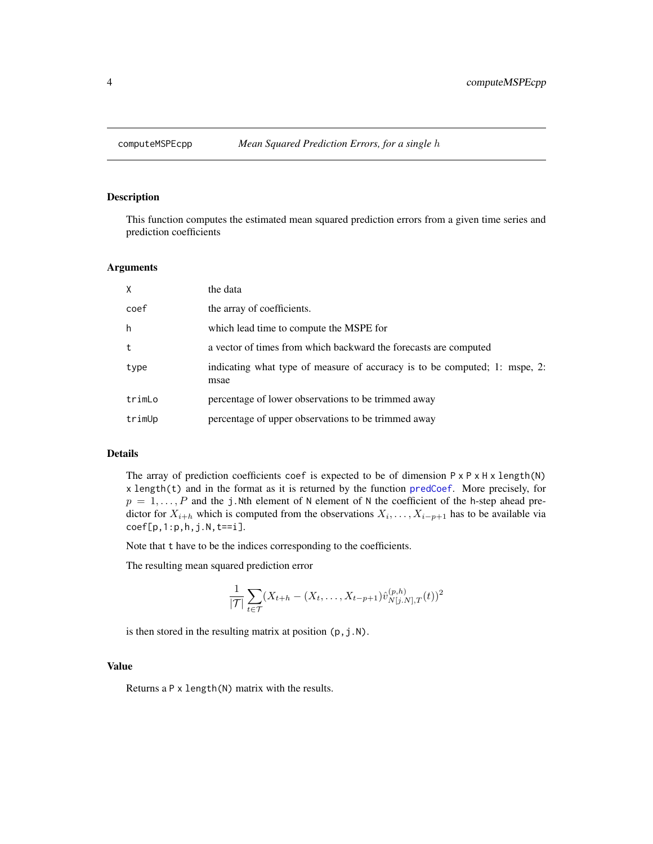#### <span id="page-3-0"></span>Description

This function computes the estimated mean squared prediction errors from a given time series and prediction coefficients

#### Arguments

| X      | the data                                                                           |
|--------|------------------------------------------------------------------------------------|
| coef   | the array of coefficients.                                                         |
| h      | which lead time to compute the MSPE for                                            |
| t      | a vector of times from which backward the forecasts are computed                   |
| type   | indicating what type of measure of accuracy is to be computed; 1: mspe, 2:<br>msae |
| trimLo | percentage of lower observations to be trimmed away                                |
| trimUp | percentage of upper observations to be trimmed away                                |

### Details

The array of prediction coefficients coef is expected to be of dimension  $P \times P \times H \times length(N)$ x length(t) and in the format as it is returned by the function [predCoef](#page-8-1). More precisely, for  $p = 1, \ldots, P$  and the j.Nth element of N element of N the coefficient of the h-step ahead predictor for  $X_{i+h}$  which is computed from the observations  $X_i, \ldots, X_{i-p+1}$  has to be available via  $coef[p,1:p,h,j.N,t==i].$ 

Note that t have to be the indices corresponding to the coefficients.

The resulting mean squared prediction error

$$
\frac{1}{|\mathcal{T}|} \sum_{t \in \mathcal{T}} (X_{t+h} - (X_t, \dots, X_{t-p+1}) \hat{v}_{N[j,N],T}^{(p,h)}(t))^2
$$

is then stored in the resulting matrix at position  $(p, j.N)$ .

#### Value

Returns a P x length(N) matrix with the results.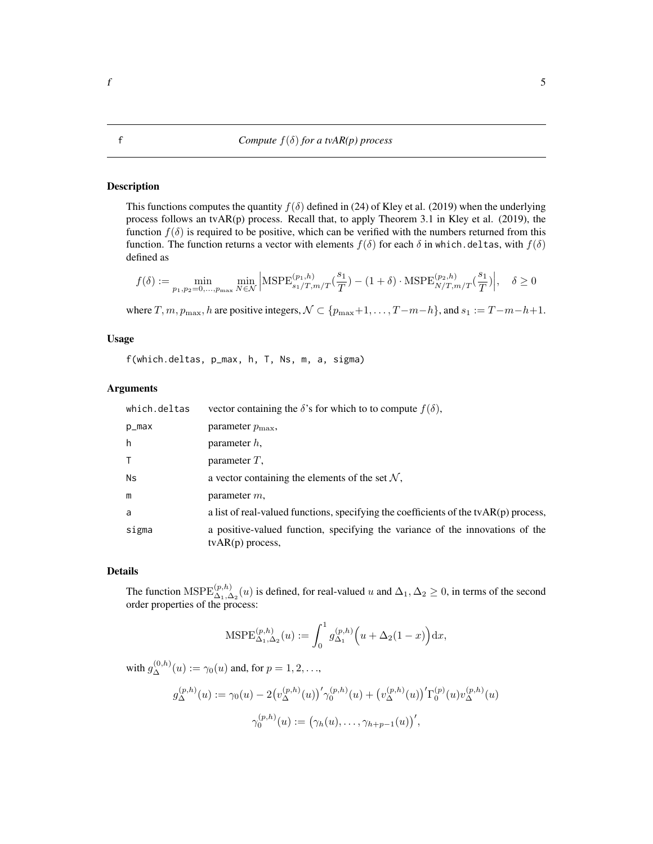#### <span id="page-4-1"></span><span id="page-4-0"></span>Description

This functions computes the quantity  $f(\delta)$  defined in (24) of Kley et al. (2019) when the underlying process follows an tvAR(p) process. Recall that, to apply Theorem 3.1 in Kley et al. (2019), the function  $f(\delta)$  is required to be positive, which can be verified with the numbers returned from this function. The function returns a vector with elements  $f(\delta)$  for each  $\delta$  in which.deltas, with  $f(\delta)$ defined as

$$
f(\delta) := \min_{p_1, p_2 = 0, \dots, p_{\text{max}}} \min_{N \in \mathcal{N}} \left| \text{MSPE}_{s_1/T, m/T}^{(p_1, h)}(\frac{s_1}{T}) - (1 + \delta) \cdot \text{MSPE}_{N/T, m/T}^{(p_2, h)}(\frac{s_1}{T}) \right|, \quad \delta \ge 0
$$

where T,  $m, p_{\text{max}}$ , h are positive integers,  $\mathcal{N} \subset \{p_{\text{max}}+1, \ldots, T-m-h\}$ , and  $s_1 := T-m-h+1$ .

#### Usage

f(which.deltas, p\_max, h, T, Ns, m, a, sigma)

#### Arguments

| which.deltas | vector containing the $\delta$ 's for which to to compute $f(\delta)$ ,                                    |
|--------------|------------------------------------------------------------------------------------------------------------|
| p_max        | parameter $p_{\text{max}}$ ,                                                                               |
| h            | parameter $h$ ,                                                                                            |
| T.           | parameter $T$ ,                                                                                            |
| Ns           | a vector containing the elements of the set $N$ ,                                                          |
| m            | parameter $m$ ,                                                                                            |
| a            | a list of real-valued functions, specifying the coefficients of the $\text{tvAR}(p)$ process,              |
| sigma        | a positive-valued function, specifying the variance of the innovations of the<br>$t\text{vAR}(p)$ process, |

# Details

The function  $\text{MSPE}_{\Delta_1,\Delta_2}^{(p,h)}(u)$  is defined, for real-valued u and  $\Delta_1,\Delta_2\geq 0$ , in terms of the second order properties of the process:

$$
\text{MSPE}_{\Delta_1, \Delta_2}^{(p,h)}(u) := \int_0^1 g_{\Delta_1}^{(p,h)} \left( u + \Delta_2 (1-x) \right) dx,
$$

with  $g_{\Delta}^{(0,h)}(u) := \gamma_0(u)$  and, for  $p = 1, 2, ...$ ,

$$
g_{\Delta}^{(p,h)}(u) := \gamma_0(u) - 2(v_{\Delta}^{(p,h)}(u))'\gamma_0^{(p,h)}(u) + (v_{\Delta}^{(p,h)}(u))'\Gamma_0^{(p)}(u)v_{\Delta}^{(p,h)}(u)
$$

$$
\gamma_0^{(p,h)}(u) := (\gamma_h(u), \dots, \gamma_{h+p-1}(u))',
$$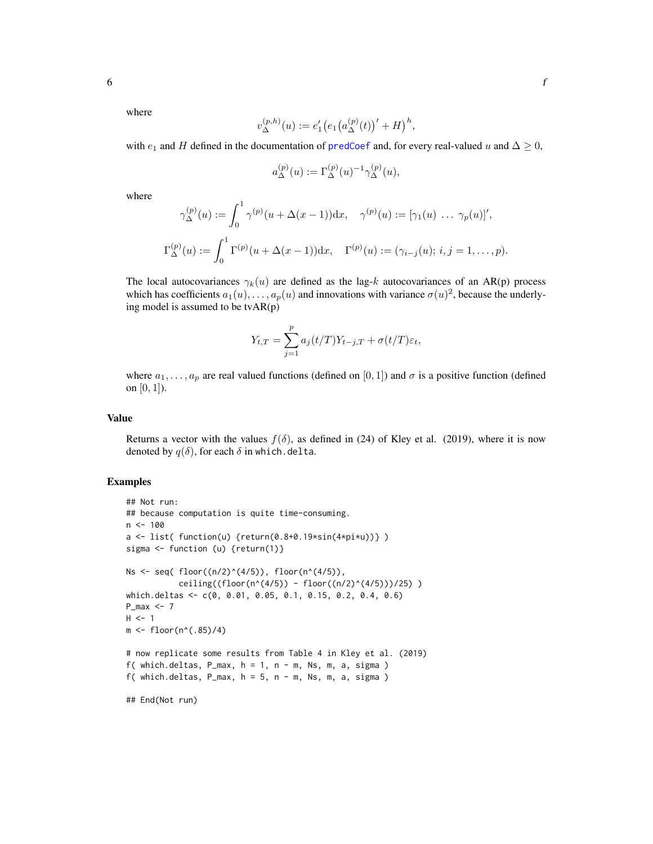<span id="page-5-0"></span>where

$$
v_{\Delta}^{(p,h)}(u) := e'_1 \big( e_1 \big( a_{\Delta}^{(p)}(t) \big)' + H \big)^h,
$$

with  $e_1$  and H defined in the documentation of [predCoef](#page-8-1) and, for every real-valued u and  $\Delta \geq 0$ ,

$$
a_{\Delta}^{(p)}(u) := \Gamma_{\Delta}^{(p)}(u)^{-1} \gamma_{\Delta}^{(p)}(u),
$$

where

$$
\gamma_{\Delta}^{(p)}(u) := \int_0^1 \gamma^{(p)}(u + \Delta(x - 1)) dx, \quad \gamma^{(p)}(u) := [\gamma_1(u) \ \dots \ \gamma_p(u)]',
$$
  

$$
\Gamma_{\Delta}^{(p)}(u) := \int_0^1 \Gamma^{(p)}(u + \Delta(x - 1)) dx, \quad \Gamma^{(p)}(u) := (\gamma_{i-j}(u); i, j = 1, \dots, p).
$$

The local autocovariances  $\gamma_k(u)$  are defined as the lag-k autocovariances of an AR(p) process which has coefficients  $a_1(u), \ldots, a_p(u)$  and innovations with variance  $\sigma(u)^2$ , because the underlying model is assumed to be tvAR(p)

$$
Y_{t,T} = \sum_{j=1}^{p} a_j(t/T)Y_{t-j,T} + \sigma(t/T)\varepsilon_t,
$$

where  $a_1, \ldots, a_p$  are real valued functions (defined on [0, 1]) and  $\sigma$  is a positive function (defined on  $[0, 1]$ ).

#### Value

Returns a vector with the values  $f(\delta)$ , as defined in (24) of Kley et al. (2019), where it is now denoted by  $q(\delta)$ , for each  $\delta$  in which.delta.

### Examples

```
## Not run:
## because computation is quite time-consuming.
n <- 100
a \leftarrow list( function(u) {return(0.8+0.19*sin(4*pi*u))})
sigma <- function (u) {return(1)}
Ns <- seq( floor((n/2)^*(4/5)), floor(n*(4/5)),
           ceiling((floor(n^(4/5)) - floor((n/2)^(4/5)))/25) )
which.deltas <- c(0, 0.01, 0.05, 0.1, 0.15, 0.2, 0.4, 0.6)
P_{max} < -7H < -1m \le -floor(n^*(.85)/4)# now replicate some results from Table 4 in Kley et al. (2019)
f( which.deltas, P_{max}, h = 1, n - m, Ns, m, a, sigma )
f( which.deltas, P_{max}, h = 5, n - m, Ns, m, a, sigma )
## End(Not run)
```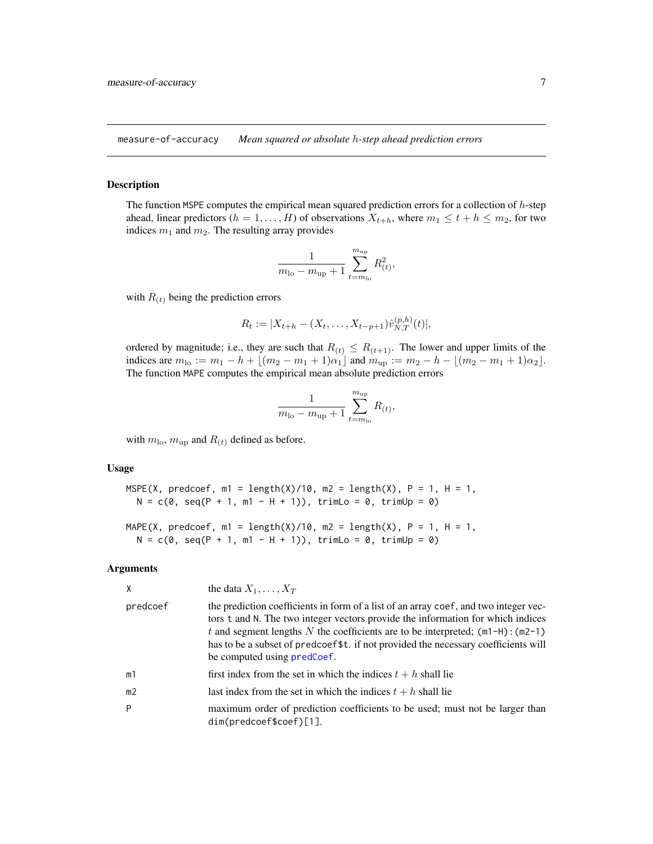<span id="page-6-0"></span>measure-of-accuracy *Mean squared or absolute* h*-step ahead prediction errors*

#### <span id="page-6-1"></span>Description

The function MSPE computes the empirical mean squared prediction errors for a collection of h-step ahead, linear predictors ( $h = 1, \ldots, H$ ) of observations  $X_{t+h}$ , where  $m_1 \leq t + h \leq m_2$ , for two indices  $m_1$  and  $m_2$ . The resulting array provides

$$
\frac{1}{m_{\text{lo}} - m_{\text{up}} + 1} \sum_{t=m_{\text{lo}}}^{m_{\text{up}}} R_{(t)}^2,
$$

with  $R(t)$  being the prediction errors

$$
R_t := |X_{t+h} - (X_t, \dots, X_{t-p+1})\hat{v}_{N,T}^{(p,h)}(t)|,
$$

ordered by magnitude; i.e., they are such that  $R(t) \leq R(t+1)$ . The lower and upper limits of the indices are  $m_{\text{lo}} := m_1 - h + \lfloor (m_2 - m_1 + 1)\alpha_1 \rfloor$  and  $m_{\text{up}} := m_2 - h - \lfloor (m_2 - m_1 + 1)\alpha_2 \rfloor$ . The function MAPE computes the empirical mean absolute prediction errors

$$
\frac{1}{m_{\text{lo}} - m_{\text{up}} + 1} \sum_{t=m_{\text{lo}}}^{m_{\text{up}}} R_{(t)},
$$

with  $m_{\text{lo}}$ ,  $m_{\text{up}}$  and  $R_{(t)}$  defined as before.

#### Usage

```
MSPE(X, predcoef, m1 = length(X)/10, m2 = length(X), P = 1, H = 1,
 N = c(0, seq(P + 1, m1 - H + 1)), trimLo = 0, trimUp = 0)
```

```
MAPE(X, predcoef, m1 = length(X)/10, m2 = length(X), P = 1, H = 1,
 N = c(0, seq(P + 1, m1 - H + 1)), trimLo = 0, trimUp = 0)
```
#### Arguments

|                | the data $X_1, \ldots, X_T$                                                                                                                                                                                                                                                                                                                                                         |
|----------------|-------------------------------------------------------------------------------------------------------------------------------------------------------------------------------------------------------------------------------------------------------------------------------------------------------------------------------------------------------------------------------------|
| predcoef       | the prediction coefficients in form of a list of an array coef, and two integer vec-<br>tors t and N. The two integer vectors provide the information for which indices<br>t and segment lengths N the coefficients are to be interpreted; $(m1-H)$ : $(m2-1)$<br>has to be a subset of predcoef\$t. if not provided the necessary coefficients will<br>be computed using predCoef. |
| m1             | first index from the set in which the indices $t + h$ shall lie                                                                                                                                                                                                                                                                                                                     |
| m <sub>2</sub> | last index from the set in which the indices $t + h$ shall lie                                                                                                                                                                                                                                                                                                                      |
| P              | maximum order of prediction coefficients to be used; must not be larger than<br>$dim(predcoef$ \$coef)[1].                                                                                                                                                                                                                                                                          |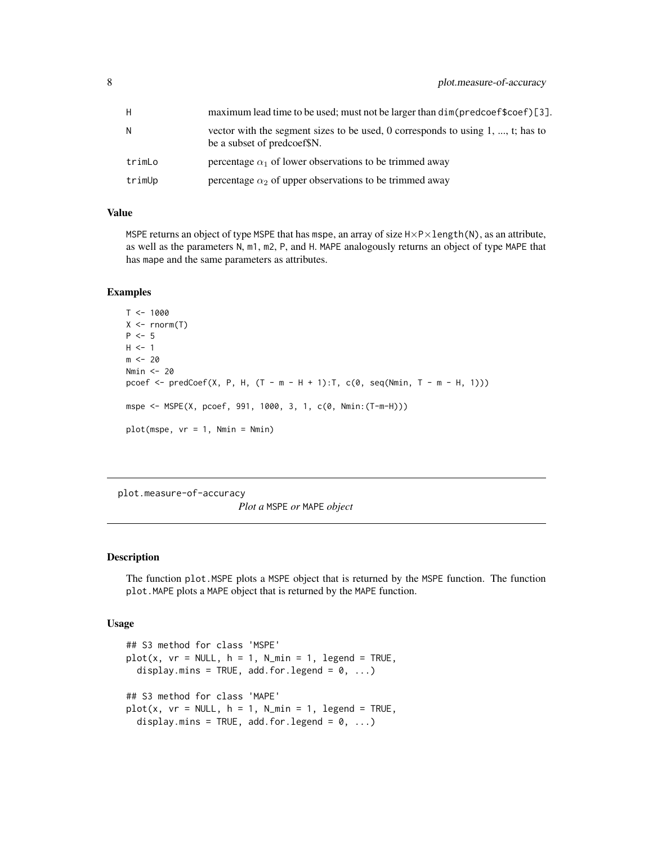<span id="page-7-0"></span>

| H      | maximum lead time to be used; must not be larger than dim(predcoef\$coef)[3].                                     |
|--------|-------------------------------------------------------------------------------------------------------------------|
| Ν      | vector with the segment sizes to be used, 0 corresponds to using $1, , t$ ; has to<br>be a subset of predcoef\$N. |
| trimLo | percentage $\alpha_1$ of lower observations to be trimmed away                                                    |
| trimUp | percentage $\alpha_2$ of upper observations to be trimmed away                                                    |

### Value

MSPE returns an object of type MSPE that has mspe, an array of size  $H \times P \times length(N)$ , as an attribute, as well as the parameters N, m1, m2, P, and H. MAPE analogously returns an object of type MAPE that has mape and the same parameters as attributes.

#### Examples

```
T < - 1000X \leftarrow \text{norm}(T)P < -5H < -1m < -20Nmin <- 20
pcoef <- predCoef(X, P, H, (T - m - H + 1): T, c(0, seq(Nmin, T - m - H, 1)))
mspe <- MSPE(X, pcoef, 991, 1000, 3, 1, c(0, Nmin:(T-m-H)))
plot(mspe, vr = 1, Nmin = Nmin)
```
plot.measure-of-accuracy

*Plot a* MSPE *or* MAPE *object*

#### Description

The function plot.MSPE plots a MSPE object that is returned by the MSPE function. The function plot.MAPE plots a MAPE object that is returned by the MAPE function.

#### Usage

```
## S3 method for class 'MSPE'
plot(x, vr = NULL, h = 1, N.min = 1, legend = TRUE,display.mins = TRUE, add.for.legend = 0, ...)
## S3 method for class 'MAPE'
plot(x, vr = NULL, h = 1, N.min = 1, legend = TRUE,display.mins = TRUE, add.for.legend = 0, ...)
```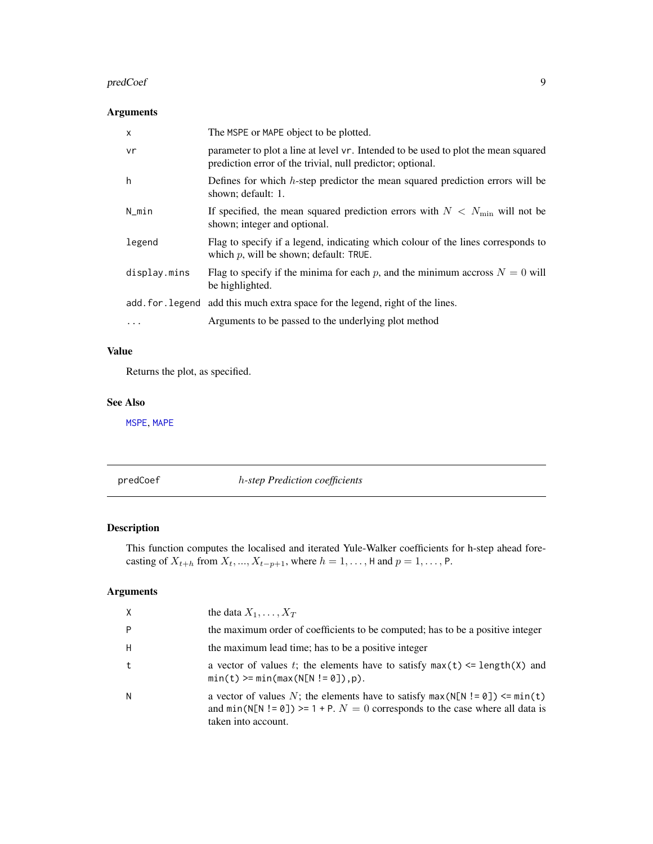#### <span id="page-8-0"></span>predCoef 99 and 200 predCoef 99 and 200 predCoef 99 and 200 predCoef 99 and 200 predCoef 99 and 200 predCoef 9

# Arguments

| $\times$     | The MSPE or MAPE object to be plotted.                                                                                                           |
|--------------|--------------------------------------------------------------------------------------------------------------------------------------------------|
| vr           | parameter to plot a line at level vr. Intended to be used to plot the mean squared<br>prediction error of the trivial, null predictor; optional. |
| h            | Defines for which $h$ -step predictor the mean squared prediction errors will be<br>shown; default: 1.                                           |
| N_min        | If specified, the mean squared prediction errors with $N < N_{\text{min}}$ will not be<br>shown; integer and optional.                           |
| legend       | Flag to specify if a legend, indicating which colour of the lines corresponds to<br>which $p$ , will be shown; default: TRUE.                    |
| display.mins | Flag to specify if the minima for each p, and the minimum accross $N = 0$ will<br>be highlighted.                                                |
|              | add. for . legend add this much extra space for the legend, right of the lines.                                                                  |
| $\ddots$     | Arguments to be passed to the underlying plot method                                                                                             |

# Value

Returns the plot, as specified.

# See Also

[MSPE](#page-6-1), [MAPE](#page-6-1)

<span id="page-8-1"></span>predCoef h*-step Prediction coefficients*

# Description

This function computes the localised and iterated Yule-Walker coefficients for h-step ahead forecasting of  $X_{t+h}$  from  $X_t, ..., X_{t-p+1}$ , where  $h = 1, ..., H$  and  $p = 1, ..., P$ .

# Arguments

| $\times$ | the data $X_1, \ldots, X_T$                                                                                                                                                                 |
|----------|---------------------------------------------------------------------------------------------------------------------------------------------------------------------------------------------|
| P        | the maximum order of coefficients to be computed; has to be a positive integer                                                                                                              |
| H        | the maximum lead time; has to be a positive integer                                                                                                                                         |
| t        | a vector of values t; the elements have to satisfy $max(t) \leq length(X)$ and<br>$min(t)$ >= $min(max(N[N != 0]), p)$ .                                                                    |
| N        | a vector of values N; the elements have to satisfy $max(N[N] = 0]) \le min(t)$<br>and $min(N[N := 0]) \ge 1 + P$ . $N = 0$ corresponds to the case where all data is<br>taken into account. |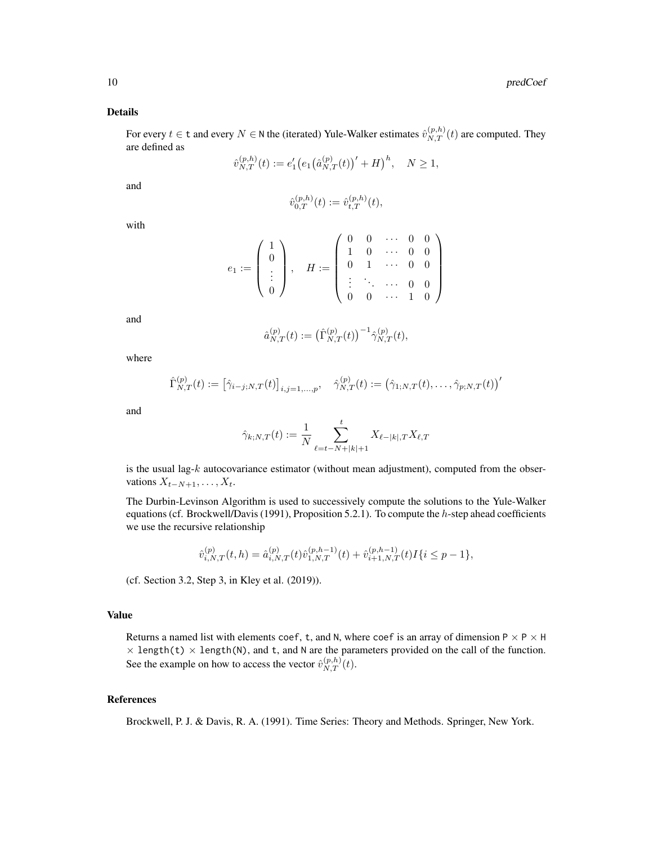#### Details

For every  $t \in \mathsf{t}$  and every  $N \in \mathsf{N}$  the (iterated) Yule-Walker estimates  $\hat{v}_{N,T}^{(p,h)}(t)$  are computed. They are defined as

$$
\hat{v}_{N,T}^{(p,h)}(t) := e'_1 \big( e_1 \big( \hat{a}_{N,T}^{(p)}(t) \big)' + H \big)^h, \quad N \ge 1,
$$

and

$$
\hat{v}_{0,T}^{(p,h)}(t) := \hat{v}_{t,T}^{(p,h)}(t),
$$

with

$$
e_1:=\left(\begin{array}{c}1\\0\\ \vdots\\ 0\end{array}\right),\quad H:=\left(\begin{array}{cccc}0&0&\cdots&0&0\\1&0&\cdots&0&0\\0&1&\cdots&0&0\\ \vdots&\ddots&\cdots&0&0\\0&0&\cdots&1&0\end{array}\right)
$$

and

$$
\hat{a}_{N,T}^{(p)}(t) := (\hat{\Gamma}_{N,T}^{(p)}(t))^{-1} \hat{\gamma}_{N,T}^{(p)}(t),
$$

where

$$
\hat{\Gamma}_{N,T}^{(p)}(t) := \left[\hat{\gamma}_{i-j;N,T}(t)\right]_{i,j=1,\ldots,p}, \quad \hat{\gamma}_{N,T}^{(p)}(t) := \left(\hat{\gamma}_{1;N,T}(t),\ldots,\hat{\gamma}_{p;N,T}(t)\right)^{\prime}
$$

and

$$
\hat{\gamma}_{k;N,T}(t):=\frac{1}{N}\sum_{\ell=t-N+|k|+1}^{t}X_{\ell-|k|,T}X_{\ell,T}
$$

is the usual lag- $k$  autocovariance estimator (without mean adjustment), computed from the observations  $X_{t-N+1}, \ldots, X_t$ .

The Durbin-Levinson Algorithm is used to successively compute the solutions to the Yule-Walker equations (cf. Brockwell/Davis (1991), Proposition 5.2.1). To compute the  $h$ -step ahead coefficients we use the recursive relationship

$$
\hat{v}_{i,N,T}^{(p)}(t,h) = \hat{a}_{i,N,T}^{(p)}(t)\hat{v}_{1,N,T}^{(p,h-1)}(t) + \hat{v}_{i+1,N,T}^{(p,h-1)}(t)I\{i \le p-1\},\,
$$

(cf. Section 3.2, Step 3, in Kley et al. (2019)).

# Value

Returns a named list with elements coef, t, and N, where coef is an array of dimension  $P \times P \times H$  $\times$  length(t)  $\times$  length(N), and t, and N are the parameters provided on the call of the function. See the example on how to access the vector  $\hat{v}_{N,T}^{(p,h)}(t)$ .

# References

Brockwell, P. J. & Davis, R. A. (1991). Time Series: Theory and Methods. Springer, New York.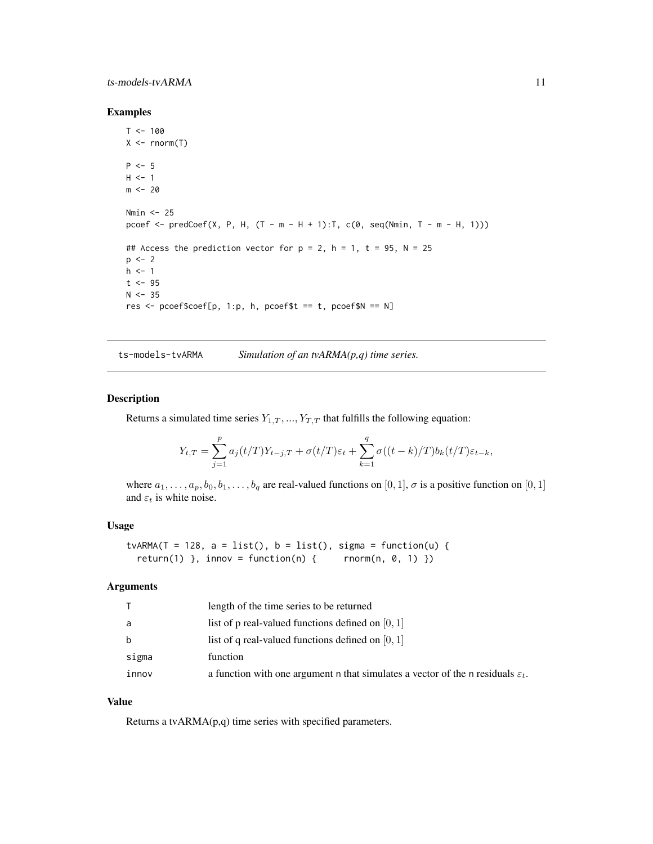## <span id="page-10-0"></span>ts-models-tvARMA 11

#### Examples

```
T < - 100X \leq -rnorm(T)P \le -5H < -1m < - 20Nmin <- 25
pcoef <- predCoef(X, P, H, (T - m - H + 1):T, c(0, seq(Nmin, T - m - H, 1)))
## Access the prediction vector for p = 2, h = 1, t = 95, N = 25p \le -2h <- 1
t <- 95
N < -35res <- pcoef$coef[p, 1:p, h, pcoef$t == t, pcoef$N == N]
```
ts-models-tvARMA *Simulation of an tvARMA(p,q) time series.*

# <span id="page-10-1"></span>Description

Returns a simulated time series  $Y_{1,T},...,Y_{T,T}$  that fulfills the following equation:

$$
Y_{t,T} = \sum_{j=1}^{p} a_j(t/T)Y_{t-j,T} + \sigma(t/T)\varepsilon_t + \sum_{k=1}^{q} \sigma((t-k)/T)b_k(t/T)\varepsilon_{t-k},
$$

where  $a_1, \ldots, a_p, b_0, b_1, \ldots, b_q$  are real-valued functions on [0, 1],  $\sigma$  is a positive function on [0, 1] and  $\varepsilon_t$  is white noise.

#### Usage

```
tvARMA(T = 128, a = list(), b = list(), sigma = function(u) {
  return(1) }, innov = function(n) { rnorm(n, 0, 1) })
```
#### Arguments

|       | length of the time series to be returned                                                    |
|-------|---------------------------------------------------------------------------------------------|
| a     | list of p real-valued functions defined on $[0, 1]$                                         |
| b     | list of q real-valued functions defined on $[0, 1]$                                         |
| sigma | function                                                                                    |
| innov | a function with one argument n that simulates a vector of the n residuals $\varepsilon_t$ . |

#### Value

Returns a tvARMA(p,q) time series with specified parameters.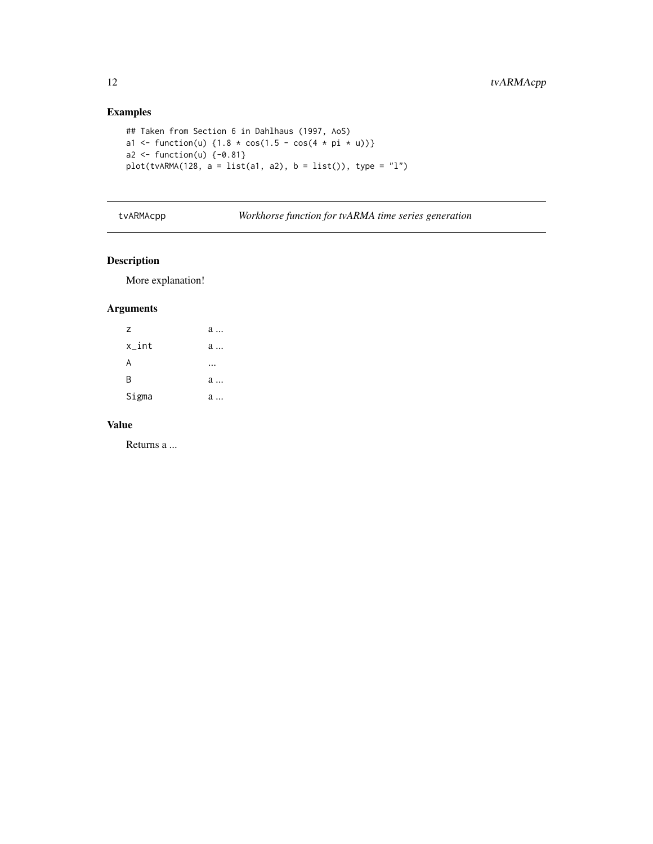# Examples

```
## Taken from Section 6 in Dahlhaus (1997, AoS)
a1 <- function(u) {1.8 * cos(1.5 - cos(4 * pi * u))}
a2 \leftarrow function(u) \{-0.81\}plot(tvARMA(128, a = list(a1, a2), b = list()); type = "l")
```
tvARMAcpp *Workhorse function for tvARMA time series generation*

# Description

More explanation!

# Arguments

| Z        | a |
|----------|---|
| $x_$ int | a |
| A        |   |
| B        | a |
| Sigma    | a |

#### Value

Returns a ...

<span id="page-11-0"></span>